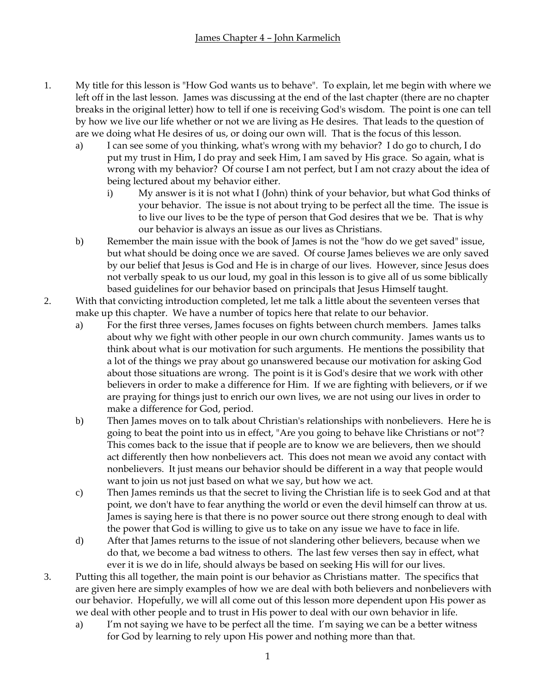- 1. My title for this lesson is "How God wants us to behave". To explain, let me begin with where we left off in the last lesson. James was discussing at the end of the last chapter (there are no chapter breaks in the original letter) how to tell if one is receiving God's wisdom. The point is one can tell by how we live our life whether or not we are living as He desires. That leads to the question of are we doing what He desires of us, or doing our own will. That is the focus of this lesson.
	- a) I can see some of you thinking, what's wrong with my behavior? I do go to church, I do put my trust in Him, I do pray and seek Him, I am saved by His grace. So again, what is wrong with my behavior? Of course I am not perfect, but I am not crazy about the idea of being lectured about my behavior either.
		- i) My answer is it is not what I (John) think of your behavior, but what God thinks of your behavior. The issue is not about trying to be perfect all the time. The issue is to live our lives to be the type of person that God desires that we be. That is why our behavior is always an issue as our lives as Christians.
	- b) Remember the main issue with the book of James is not the "how do we get saved" issue, but what should be doing once we are saved. Of course James believes we are only saved by our belief that Jesus is God and He is in charge of our lives. However, since Jesus does not verbally speak to us our loud, my goal in this lesson is to give all of us some biblically based guidelines for our behavior based on principals that Jesus Himself taught.
- 2. With that convicting introduction completed, let me talk a little about the seventeen verses that make up this chapter. We have a number of topics here that relate to our behavior.
	- a) For the first three verses, James focuses on fights between church members. James talks about why we fight with other people in our own church community. James wants us to think about what is our motivation for such arguments. He mentions the possibility that a lot of the things we pray about go unanswered because our motivation for asking God about those situations are wrong. The point is it is God's desire that we work with other believers in order to make a difference for Him. If we are fighting with believers, or if we are praying for things just to enrich our own lives, we are not using our lives in order to make a difference for God, period.
	- b) Then James moves on to talk about Christian's relationships with nonbelievers. Here he is going to beat the point into us in effect, "Are you going to behave like Christians or not"? This comes back to the issue that if people are to know we are believers, then we should act differently then how nonbelievers act. This does not mean we avoid any contact with nonbelievers. It just means our behavior should be different in a way that people would want to join us not just based on what we say, but how we act.
	- c) Then James reminds us that the secret to living the Christian life is to seek God and at that point, we don't have to fear anything the world or even the devil himself can throw at us. James is saying here is that there is no power source out there strong enough to deal with the power that God is willing to give us to take on any issue we have to face in life.
	- d) After that James returns to the issue of not slandering other believers, because when we do that, we become a bad witness to others. The last few verses then say in effect, what ever it is we do in life, should always be based on seeking His will for our lives.
- 3. Putting this all together, the main point is our behavior as Christians matter. The specifics that are given here are simply examples of how we are deal with both believers and nonbelievers with our behavior. Hopefully, we will all come out of this lesson more dependent upon His power as we deal with other people and to trust in His power to deal with our own behavior in life.
	- a) I'm not saying we have to be perfect all the time. I'm saying we can be a better witness for God by learning to rely upon His power and nothing more than that.
		- 1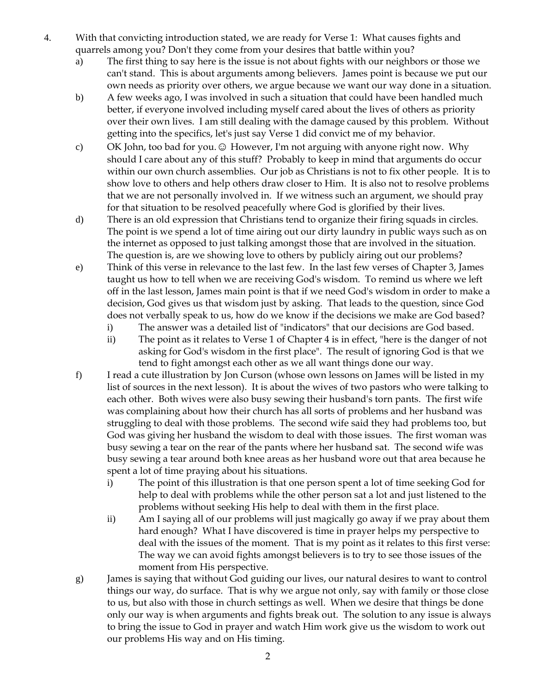- 4. With that convicting introduction stated, we are ready for Verse 1: What causes fights and quarrels among you? Don't they come from your desires that battle within you?
	- a) The first thing to say here is the issue is not about fights with our neighbors or those we can't stand. This is about arguments among believers. James point is because we put our own needs as priority over others, we argue because we want our way done in a situation.
	- b) A few weeks ago, I was involved in such a situation that could have been handled much better, if everyone involved including myself cared about the lives of others as priority over their own lives. I am still dealing with the damage caused by this problem. Without getting into the specifics, let's just say Verse 1 did convict me of my behavior.
	- c) OK John, too bad for you. © However, I'm not arguing with anyone right now. Why should I care about any of this stuff? Probably to keep in mind that arguments do occur within our own church assemblies. Our job as Christians is not to fix other people. It is to show love to others and help others draw closer to Him. It is also not to resolve problems that we are not personally involved in. If we witness such an argument, we should pray for that situation to be resolved peacefully where God is glorified by their lives.
	- d) There is an old expression that Christians tend to organize their firing squads in circles. The point is we spend a lot of time airing out our dirty laundry in public ways such as on the internet as opposed to just talking amongst those that are involved in the situation. The question is, are we showing love to others by publicly airing out our problems?
	- e) Think of this verse in relevance to the last few. In the last few verses of Chapter 3, James taught us how to tell when we are receiving God's wisdom. To remind us where we left off in the last lesson, James main point is that if we need God's wisdom in order to make a decision, God gives us that wisdom just by asking. That leads to the question, since God does not verbally speak to us, how do we know if the decisions we make are God based?
		- i) The answer was a detailed list of "indicators" that our decisions are God based.
		- ii) The point as it relates to Verse 1 of Chapter 4 is in effect, "here is the danger of not asking for God's wisdom in the first place". The result of ignoring God is that we tend to fight amongst each other as we all want things done our way.
	- f) I read a cute illustration by Jon Curson (whose own lessons on James will be listed in my list of sources in the next lesson). It is about the wives of two pastors who were talking to each other. Both wives were also busy sewing their husband's torn pants. The first wife was complaining about how their church has all sorts of problems and her husband was struggling to deal with those problems. The second wife said they had problems too, but God was giving her husband the wisdom to deal with those issues. The first woman was busy sewing a tear on the rear of the pants where her husband sat. The second wife was busy sewing a tear around both knee areas as her husband wore out that area because he spent a lot of time praying about his situations.
		- i) The point of this illustration is that one person spent a lot of time seeking God for help to deal with problems while the other person sat a lot and just listened to the problems without seeking His help to deal with them in the first place.
		- ii) Am I saying all of our problems will just magically go away if we pray about them hard enough? What I have discovered is time in prayer helps my perspective to deal with the issues of the moment. That is my point as it relates to this first verse: The way we can avoid fights amongst believers is to try to see those issues of the moment from His perspective.
	- g) James is saying that without God guiding our lives, our natural desires to want to control things our way, do surface. That is why we argue not only, say with family or those close to us, but also with those in church settings as well. When we desire that things be done only our way is when arguments and fights break out. The solution to any issue is always to bring the issue to God in prayer and watch Him work give us the wisdom to work out our problems His way and on His timing.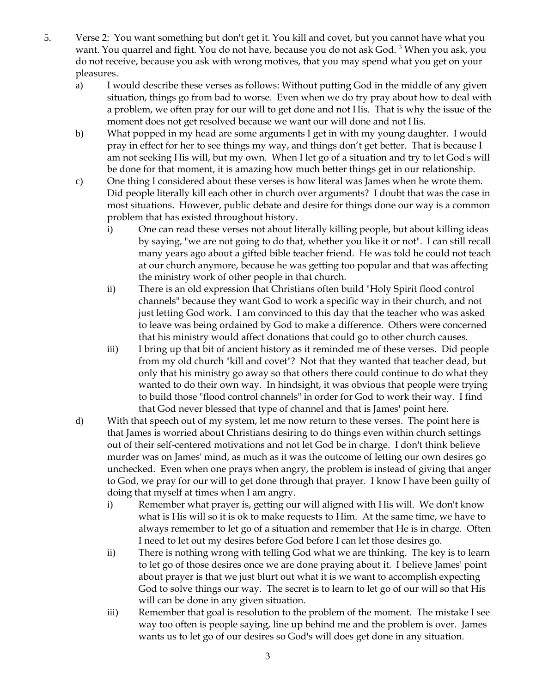- 5. Verse 2: You want something but don't get it. You kill and covet, but you cannot have what you want. You quarrel and fight. You do not have, because you do not ask God. <sup>3</sup> When you ask, you do not receive, because you ask with wrong motives, that you may spend what you get on your pleasures.
	- a) I would describe these verses as follows: Without putting God in the middle of any given situation, things go from bad to worse. Even when we do try pray about how to deal with a problem, we often pray for our will to get done and not His. That is why the issue of the moment does not get resolved because we want our will done and not His.
	- b) What popped in my head are some arguments I get in with my young daughter. I would pray in effect for her to see things my way, and things don't get better. That is because I am not seeking His will, but my own. When I let go of a situation and try to let God's will be done for that moment, it is amazing how much better things get in our relationship.
	- c) One thing I considered about these verses is how literal was James when he wrote them. Did people literally kill each other in church over arguments? I doubt that was the case in most situations. However, public debate and desire for things done our way is a common problem that has existed throughout history.
		- i) One can read these verses not about literally killing people, but about killing ideas by saying, "we are not going to do that, whether you like it or not". I can still recall many years ago about a gifted bible teacher friend. He was told he could not teach at our church anymore, because he was getting too popular and that was affecting the ministry work of other people in that church.
		- ii) There is an old expression that Christians often build "Holy Spirit flood control channels" because they want God to work a specific way in their church, and not just letting God work. I am convinced to this day that the teacher who was asked to leave was being ordained by God to make a difference. Others were concerned that his ministry would affect donations that could go to other church causes.
		- iii) I bring up that bit of ancient history as it reminded me of these verses. Did people from my old church "kill and covet"? Not that they wanted that teacher dead, but only that his ministry go away so that others there could continue to do what they wanted to do their own way. In hindsight, it was obvious that people were trying to build those "flood control channels" in order for God to work their way. I find that God never blessed that type of channel and that is James' point here.
	- d) With that speech out of my system, let me now return to these verses. The point here is that James is worried about Christians desiring to do things even within church settings out of their self-centered motivations and not let God be in charge. I don't think believe murder was on James' mind, as much as it was the outcome of letting our own desires go unchecked. Even when one prays when angry, the problem is instead of giving that anger to God, we pray for our will to get done through that prayer. I know I have been guilty of doing that myself at times when I am angry.
		- i) Remember what prayer is, getting our will aligned with His will. We don't know what is His will so it is ok to make requests to Him. At the same time, we have to always remember to let go of a situation and remember that He is in charge. Often I need to let out my desires before God before I can let those desires go.
		- ii) There is nothing wrong with telling God what we are thinking. The key is to learn to let go of those desires once we are done praying about it. I believe James' point about prayer is that we just blurt out what it is we want to accomplish expecting God to solve things our way. The secret is to learn to let go of our will so that His will can be done in any given situation.
		- iii) Remember that goal is resolution to the problem of the moment. The mistake I see way too often is people saying, line up behind me and the problem is over. James wants us to let go of our desires so God's will does get done in any situation.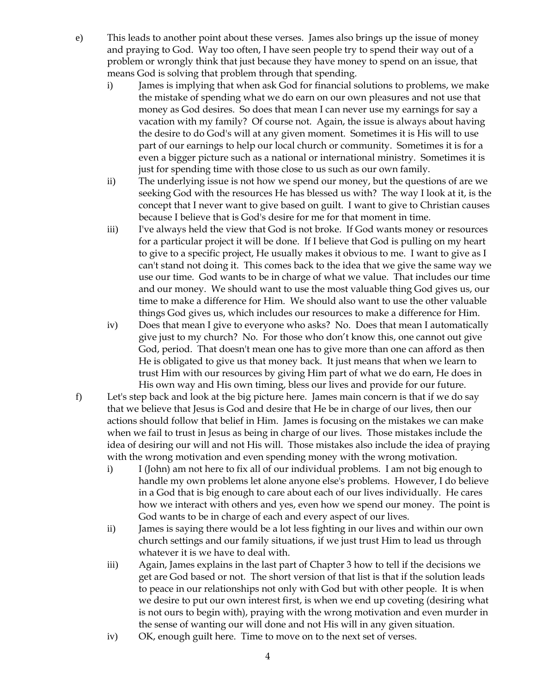- e) This leads to another point about these verses. James also brings up the issue of money and praying to God. Way too often, I have seen people try to spend their way out of a problem or wrongly think that just because they have money to spend on an issue, that means God is solving that problem through that spending.
	- i) James is implying that when ask God for financial solutions to problems, we make the mistake of spending what we do earn on our own pleasures and not use that money as God desires. So does that mean I can never use my earnings for say a vacation with my family? Of course not. Again, the issue is always about having the desire to do God's will at any given moment. Sometimes it is His will to use part of our earnings to help our local church or community. Sometimes it is for a even a bigger picture such as a national or international ministry. Sometimes it is just for spending time with those close to us such as our own family.
	- ii) The underlying issue is not how we spend our money, but the questions of are we seeking God with the resources He has blessed us with? The way I look at it, is the concept that I never want to give based on guilt. I want to give to Christian causes because I believe that is God's desire for me for that moment in time.
	- iii) I've always held the view that God is not broke. If God wants money or resources for a particular project it will be done. If I believe that God is pulling on my heart to give to a specific project, He usually makes it obvious to me. I want to give as I can't stand not doing it. This comes back to the idea that we give the same way we use our time. God wants to be in charge of what we value. That includes our time and our money. We should want to use the most valuable thing God gives us, our time to make a difference for Him. We should also want to use the other valuable things God gives us, which includes our resources to make a difference for Him.
	- iv) Does that mean I give to everyone who asks? No. Does that mean I automatically give just to my church? No. For those who don't know this, one cannot out give God, period. That doesn't mean one has to give more than one can afford as then He is obligated to give us that money back. It just means that when we learn to trust Him with our resources by giving Him part of what we do earn, He does in His own way and His own timing, bless our lives and provide for our future.
- f) Let's step back and look at the big picture here. James main concern is that if we do say that we believe that Jesus is God and desire that He be in charge of our lives, then our actions should follow that belief in Him. James is focusing on the mistakes we can make when we fail to trust in Jesus as being in charge of our lives. Those mistakes include the idea of desiring our will and not His will. Those mistakes also include the idea of praying with the wrong motivation and even spending money with the wrong motivation.
	- i) I (John) am not here to fix all of our individual problems. I am not big enough to handle my own problems let alone anyone else's problems. However, I do believe in a God that is big enough to care about each of our lives individually. He cares how we interact with others and yes, even how we spend our money. The point is God wants to be in charge of each and every aspect of our lives.
	- ii) James is saying there would be a lot less fighting in our lives and within our own church settings and our family situations, if we just trust Him to lead us through whatever it is we have to deal with.
	- iii) Again, James explains in the last part of Chapter 3 how to tell if the decisions we get are God based or not. The short version of that list is that if the solution leads to peace in our relationships not only with God but with other people. It is when we desire to put our own interest first, is when we end up coveting (desiring what is not ours to begin with), praying with the wrong motivation and even murder in the sense of wanting our will done and not His will in any given situation.
	- iv) OK, enough guilt here. Time to move on to the next set of verses.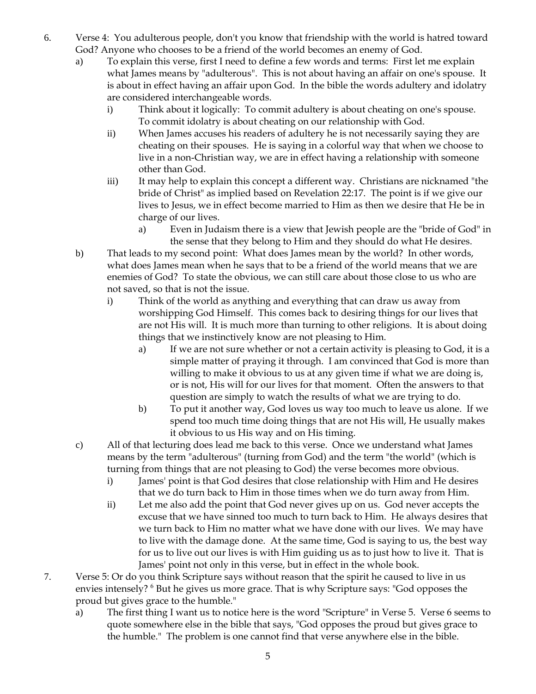- 6. Verse 4: You adulterous people, don't you know that friendship with the world is hatred toward God? Anyone who chooses to be a friend of the world becomes an enemy of God.
	- a) To explain this verse, first I need to define a few words and terms: First let me explain what James means by "adulterous". This is not about having an affair on one's spouse. It is about in effect having an affair upon God. In the bible the words adultery and idolatry are considered interchangeable words.
		- i) Think about it logically: To commit adultery is about cheating on one's spouse. To commit idolatry is about cheating on our relationship with God.
		- ii) When James accuses his readers of adultery he is not necessarily saying they are cheating on their spouses. He is saying in a colorful way that when we choose to live in a non-Christian way, we are in effect having a relationship with someone other than God.
		- iii) It may help to explain this concept a different way. Christians are nicknamed "the bride of Christ" as implied based on Revelation 22:17. The point is if we give our lives to Jesus, we in effect become married to Him as then we desire that He be in charge of our lives.
			- a) Even in Judaism there is a view that Jewish people are the "bride of God" in the sense that they belong to Him and they should do what He desires.
	- b) That leads to my second point: What does James mean by the world? In other words, what does James mean when he says that to be a friend of the world means that we are enemies of God? To state the obvious, we can still care about those close to us who are not saved, so that is not the issue.
		- i) Think of the world as anything and everything that can draw us away from worshipping God Himself. This comes back to desiring things for our lives that are not His will. It is much more than turning to other religions. It is about doing things that we instinctively know are not pleasing to Him.
			- a) If we are not sure whether or not a certain activity is pleasing to God, it is a simple matter of praying it through. I am convinced that God is more than willing to make it obvious to us at any given time if what we are doing is, or is not, His will for our lives for that moment. Often the answers to that question are simply to watch the results of what we are trying to do.
			- b) To put it another way, God loves us way too much to leave us alone. If we spend too much time doing things that are not His will, He usually makes it obvious to us His way and on His timing.
	- c) All of that lecturing does lead me back to this verse. Once we understand what James means by the term "adulterous" (turning from God) and the term "the world" (which is turning from things that are not pleasing to God) the verse becomes more obvious.
		- i) James' point is that God desires that close relationship with Him and He desires that we do turn back to Him in those times when we do turn away from Him.
		- ii) Let me also add the point that God never gives up on us. God never accepts the excuse that we have sinned too much to turn back to Him. He always desires that we turn back to Him no matter what we have done with our lives. We may have to live with the damage done. At the same time, God is saying to us, the best way for us to live out our lives is with Him guiding us as to just how to live it. That is James' point not only in this verse, but in effect in the whole book.
- 7. Verse 5: Or do you think Scripture says without reason that the spirit he caused to live in us envies intensely? <sup>6</sup> But he gives us more grace. That is why Scripture says: "God opposes the proud but gives grace to the humble."
	- a) The first thing I want us to notice here is the word "Scripture" in Verse 5. Verse 6 seems to quote somewhere else in the bible that says, "God opposes the proud but gives grace to the humble." The problem is one cannot find that verse anywhere else in the bible.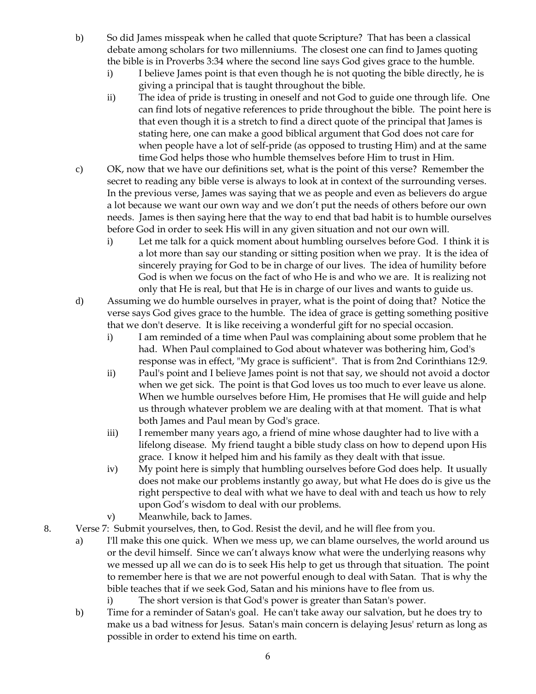- b) So did James misspeak when he called that quote Scripture? That has been a classical debate among scholars for two millenniums. The closest one can find to James quoting the bible is in Proverbs 3:34 where the second line says God gives grace to the humble.
	- i) I believe James point is that even though he is not quoting the bible directly, he is giving a principal that is taught throughout the bible.
	- ii) The idea of pride is trusting in oneself and not God to guide one through life. One can find lots of negative references to pride throughout the bible. The point here is that even though it is a stretch to find a direct quote of the principal that James is stating here, one can make a good biblical argument that God does not care for when people have a lot of self-pride (as opposed to trusting Him) and at the same time God helps those who humble themselves before Him to trust in Him.
- c) OK, now that we have our definitions set, what is the point of this verse? Remember the secret to reading any bible verse is always to look at in context of the surrounding verses. In the previous verse, James was saying that we as people and even as believers do argue a lot because we want our own way and we don't put the needs of others before our own needs. James is then saying here that the way to end that bad habit is to humble ourselves before God in order to seek His will in any given situation and not our own will.
	- i) Let me talk for a quick moment about humbling ourselves before God. I think it is a lot more than say our standing or sitting position when we pray. It is the idea of sincerely praying for God to be in charge of our lives. The idea of humility before God is when we focus on the fact of who He is and who we are. It is realizing not only that He is real, but that He is in charge of our lives and wants to guide us.
- d) Assuming we do humble ourselves in prayer, what is the point of doing that? Notice the verse says God gives grace to the humble. The idea of grace is getting something positive that we don't deserve. It is like receiving a wonderful gift for no special occasion.
	- i) I am reminded of a time when Paul was complaining about some problem that he had. When Paul complained to God about whatever was bothering him, God's response was in effect, "My grace is sufficient". That is from 2nd Corinthians 12:9.
	- ii) Paul's point and I believe James point is not that say, we should not avoid a doctor when we get sick. The point is that God loves us too much to ever leave us alone. When we humble ourselves before Him, He promises that He will guide and help us through whatever problem we are dealing with at that moment. That is what both James and Paul mean by God's grace.
	- iii) I remember many years ago, a friend of mine whose daughter had to live with a lifelong disease. My friend taught a bible study class on how to depend upon His grace. I know it helped him and his family as they dealt with that issue.
	- iv) My point here is simply that humbling ourselves before God does help. It usually does not make our problems instantly go away, but what He does do is give us the right perspective to deal with what we have to deal with and teach us how to rely upon God's wisdom to deal with our problems.
	- v) Meanwhile, back to James.
- 8. Verse 7: Submit yourselves, then, to God. Resist the devil, and he will flee from you.
	- a) I'll make this one quick. When we mess up, we can blame ourselves, the world around us or the devil himself. Since we can't always know what were the underlying reasons why we messed up all we can do is to seek His help to get us through that situation. The point to remember here is that we are not powerful enough to deal with Satan. That is why the bible teaches that if we seek God, Satan and his minions have to flee from us.
		- i) The short version is that God's power is greater than Satan's power.
	- b) Time for a reminder of Satan's goal. He can't take away our salvation, but he does try to make us a bad witness for Jesus. Satan's main concern is delaying Jesus' return as long as possible in order to extend his time on earth.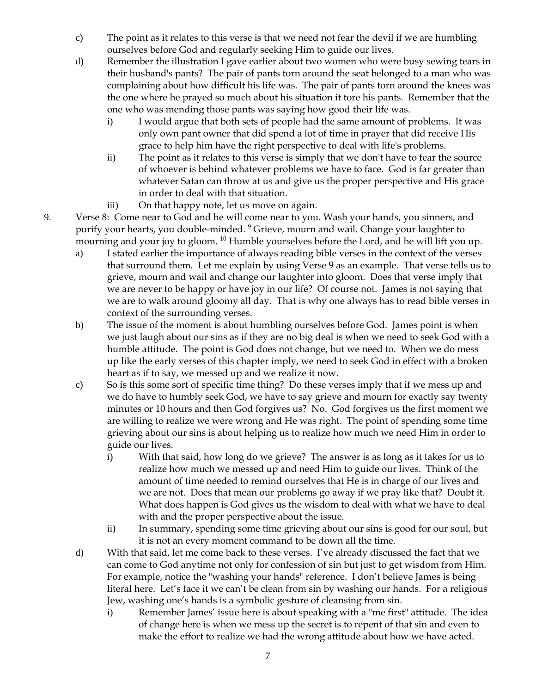- c) The point as it relates to this verse is that we need not fear the devil if we are humbling ourselves before God and regularly seeking Him to guide our lives.
- d) Remember the illustration I gave earlier about two women who were busy sewing tears in their husband's pants? The pair of pants torn around the seat belonged to a man who was complaining about how difficult his life was. The pair of pants torn around the knees was the one where he prayed so much about his situation it tore his pants. Remember that the one who was mending those pants was saying how good their life was.
	- i) I would argue that both sets of people had the same amount of problems. It was only own pant owner that did spend a lot of time in prayer that did receive His grace to help him have the right perspective to deal with life's problems.
	- ii) The point as it relates to this verse is simply that we don't have to fear the source of whoever is behind whatever problems we have to face. God is far greater than whatever Satan can throw at us and give us the proper perspective and His grace in order to deal with that situation.
	- iii) On that happy note, let us move on again.
- 9. Verse 8: Come near to God and he will come near to you. Wash your hands, you sinners, and purify your hearts, you double-minded. <sup>9</sup> Grieve, mourn and wail. Change your laughter to mourning and your joy to gloom. <sup>10</sup> Humble yourselves before the Lord, and he will lift you up.
	- a) I stated earlier the importance of always reading bible verses in the context of the verses that surround them. Let me explain by using Verse 9 as an example. That verse tells us to grieve, mourn and wail and change our laughter into gloom. Does that verse imply that we are never to be happy or have joy in our life? Of course not. James is not saying that we are to walk around gloomy all day. That is why one always has to read bible verses in context of the surrounding verses.
	- b) The issue of the moment is about humbling ourselves before God. James point is when we just laugh about our sins as if they are no big deal is when we need to seek God with a humble attitude. The point is God does not change, but we need to. When we do mess up like the early verses of this chapter imply, we need to seek God in effect with a broken heart as if to say, we messed up and we realize it now.
	- c) So is this some sort of specific time thing? Do these verses imply that if we mess up and we do have to humbly seek God, we have to say grieve and mourn for exactly say twenty minutes or 10 hours and then God forgives us? No. God forgives us the first moment we are willing to realize we were wrong and He was right. The point of spending some time grieving about our sins is about helping us to realize how much we need Him in order to guide our lives.
		- i) With that said, how long do we grieve? The answer is as long as it takes for us to realize how much we messed up and need Him to guide our lives. Think of the amount of time needed to remind ourselves that He is in charge of our lives and we are not. Does that mean our problems go away if we pray like that? Doubt it. What does happen is God gives us the wisdom to deal with what we have to deal with and the proper perspective about the issue.
		- ii) In summary, spending some time grieving about our sins is good for our soul, but it is not an every moment command to be down all the time.
	- d) With that said, let me come back to these verses. I've already discussed the fact that we can come to God anytime not only for confession of sin but just to get wisdom from Him. For example, notice the "washing your hands" reference. I don't believe James is being literal here. Let's face it we can't be clean from sin by washing our hands. For a religious Jew, washing one's hands is a symbolic gesture of cleansing from sin.
		- i) Remember James' issue here is about speaking with a "me first" attitude. The idea of change here is when we mess up the secret is to repent of that sin and even to make the effort to realize we had the wrong attitude about how we have acted.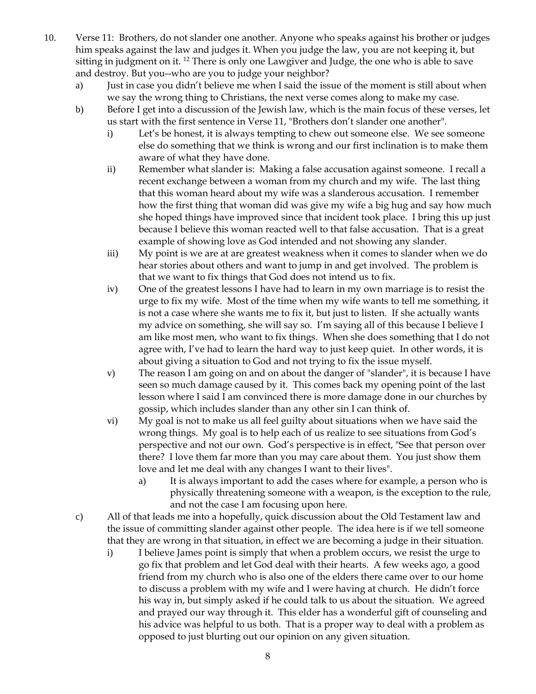- 10. Verse 11: Brothers, do not slander one another. Anyone who speaks against his brother or judges him speaks against the law and judges it. When you judge the law, you are not keeping it, but sitting in judgment on it.  $^{12}$  There is only one Lawgiver and Judge, the one who is able to save and destroy. But you--who are you to judge your neighbor?
	- a) Just in case you didn't believe me when I said the issue of the moment is still about when we say the wrong thing to Christians, the next verse comes along to make my case.
	- b) Before I get into a discussion of the Jewish law, which is the main focus of these verses, let us start with the first sentence in Verse 11, "Brothers don't slander one another".
		- i) Let's be honest, it is always tempting to chew out someone else. We see someone else do something that we think is wrong and our first inclination is to make them aware of what they have done.
		- ii) Remember what slander is: Making a false accusation against someone. I recall a recent exchange between a woman from my church and my wife. The last thing that this woman heard about my wife was a slanderous accusation. I remember how the first thing that woman did was give my wife a big hug and say how much she hoped things have improved since that incident took place. I bring this up just because I believe this woman reacted well to that false accusation. That is a great example of showing love as God intended and not showing any slander.
		- iii) My point is we are at are greatest weakness when it comes to slander when we do hear stories about others and want to jump in and get involved. The problem is that we want to fix things that God does not intend us to fix.
		- iv) One of the greatest lessons I have had to learn in my own marriage is to resist the urge to fix my wife. Most of the time when my wife wants to tell me something, it is not a case where she wants me to fix it, but just to listen. If she actually wants my advice on something, she will say so. I'm saying all of this because I believe I am like most men, who want to fix things. When she does something that I do not agree with, I've had to learn the hard way to just keep quiet. In other words, it is about giving a situation to God and not trying to fix the issue myself.
		- v) The reason I am going on and on about the danger of "slander", it is because I have seen so much damage caused by it. This comes back my opening point of the last lesson where I said I am convinced there is more damage done in our churches by gossip, which includes slander than any other sin I can think of.
		- vi) My goal is not to make us all feel guilty about situations when we have said the wrong things. My goal is to help each of us realize to see situations from God's perspective and not our own. God's perspective is in effect, "See that person over there? I love them far more than you may care about them. You just show them love and let me deal with any changes I want to their lives".
			- a) It is always important to add the cases where for example, a person who is physically threatening someone with a weapon, is the exception to the rule, and not the case I am focusing upon here.
	- c) All of that leads me into a hopefully, quick discussion about the Old Testament law and the issue of committing slander against other people. The idea here is if we tell someone that they are wrong in that situation, in effect we are becoming a judge in their situation.
		- i) I believe James point is simply that when a problem occurs, we resist the urge to go fix that problem and let God deal with their hearts. A few weeks ago, a good friend from my church who is also one of the elders there came over to our home to discuss a problem with my wife and I were having at church. He didn't force his way in, but simply asked if he could talk to us about the situation. We agreed and prayed our way through it. This elder has a wonderful gift of counseling and his advice was helpful to us both. That is a proper way to deal with a problem as opposed to just blurting out our opinion on any given situation.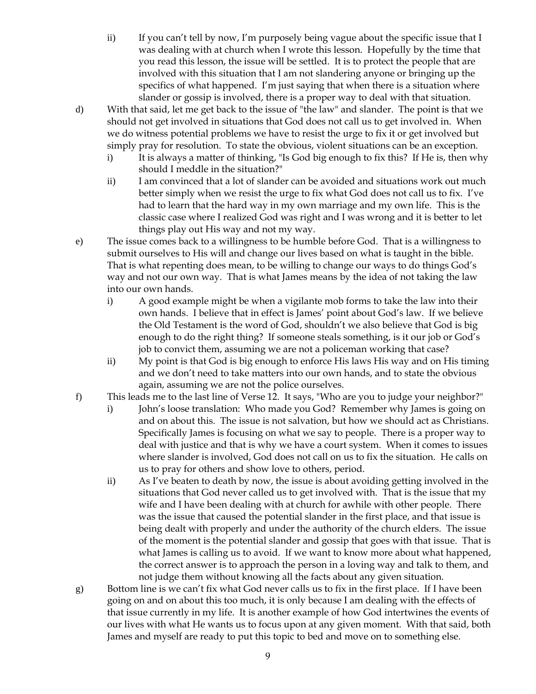- ii) If you can't tell by now, I'm purposely being vague about the specific issue that I was dealing with at church when I wrote this lesson. Hopefully by the time that you read this lesson, the issue will be settled. It is to protect the people that are involved with this situation that I am not slandering anyone or bringing up the specifics of what happened. I'm just saying that when there is a situation where slander or gossip is involved, there is a proper way to deal with that situation.
- d) With that said, let me get back to the issue of "the law" and slander. The point is that we should not get involved in situations that God does not call us to get involved in. When we do witness potential problems we have to resist the urge to fix it or get involved but simply pray for resolution. To state the obvious, violent situations can be an exception.
	- i) It is always a matter of thinking, "Is God big enough to fix this? If He is, then why should I meddle in the situation?"
	- ii) I am convinced that a lot of slander can be avoided and situations work out much better simply when we resist the urge to fix what God does not call us to fix. I've had to learn that the hard way in my own marriage and my own life. This is the classic case where I realized God was right and I was wrong and it is better to let things play out His way and not my way.
- e) The issue comes back to a willingness to be humble before God. That is a willingness to submit ourselves to His will and change our lives based on what is taught in the bible. That is what repenting does mean, to be willing to change our ways to do things God's way and not our own way. That is what James means by the idea of not taking the law into our own hands.
	- i) A good example might be when a vigilante mob forms to take the law into their own hands. I believe that in effect is James' point about God's law. If we believe the Old Testament is the word of God, shouldn't we also believe that God is big enough to do the right thing? If someone steals something, is it our job or God's job to convict them, assuming we are not a policeman working that case?
	- ii) My point is that God is big enough to enforce His laws His way and on His timing and we don't need to take matters into our own hands, and to state the obvious again, assuming we are not the police ourselves.
- f) This leads me to the last line of Verse 12. It says, "Who are you to judge your neighbor?"
	- i) John's loose translation: Who made you God? Remember why James is going on and on about this. The issue is not salvation, but how we should act as Christians. Specifically James is focusing on what we say to people. There is a proper way to deal with justice and that is why we have a court system. When it comes to issues where slander is involved, God does not call on us to fix the situation. He calls on us to pray for others and show love to others, period.
	- ii) As I've beaten to death by now, the issue is about avoiding getting involved in the situations that God never called us to get involved with. That is the issue that my wife and I have been dealing with at church for awhile with other people. There was the issue that caused the potential slander in the first place, and that issue is being dealt with properly and under the authority of the church elders. The issue of the moment is the potential slander and gossip that goes with that issue. That is what James is calling us to avoid. If we want to know more about what happened, the correct answer is to approach the person in a loving way and talk to them, and not judge them without knowing all the facts about any given situation.
- g) Bottom line is we can't fix what God never calls us to fix in the first place. If I have been going on and on about this too much, it is only because I am dealing with the effects of that issue currently in my life. It is another example of how God intertwines the events of our lives with what He wants us to focus upon at any given moment. With that said, both James and myself are ready to put this topic to bed and move on to something else.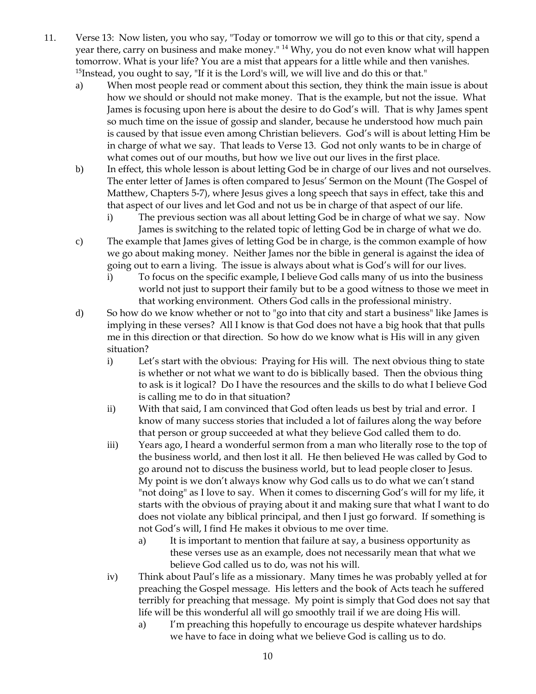- 11. Verse 13: Now listen, you who say, "Today or tomorrow we will go to this or that city, spend a year there, carry on business and make money." <sup>14</sup> Why, you do not even know what will happen tomorrow. What is your life? You are a mist that appears for a little while and then vanishes. <sup>15</sup>Instead, you ought to say, "If it is the Lord's will, we will live and do this or that."
	- a) When most people read or comment about this section, they think the main issue is about how we should or should not make money. That is the example, but not the issue. What James is focusing upon here is about the desire to do God's will. That is why James spent so much time on the issue of gossip and slander, because he understood how much pain is caused by that issue even among Christian believers. God's will is about letting Him be in charge of what we say. That leads to Verse 13. God not only wants to be in charge of what comes out of our mouths, but how we live out our lives in the first place.
	- b) In effect, this whole lesson is about letting God be in charge of our lives and not ourselves. The enter letter of James is often compared to Jesus' Sermon on the Mount (The Gospel of Matthew, Chapters 5-7), where Jesus gives a long speech that says in effect, take this and that aspect of our lives and let God and not us be in charge of that aspect of our life.
		- i) The previous section was all about letting God be in charge of what we say. Now James is switching to the related topic of letting God be in charge of what we do.
	- c) The example that James gives of letting God be in charge, is the common example of how we go about making money. Neither James nor the bible in general is against the idea of going out to earn a living. The issue is always about what is God's will for our lives.
		- i) To focus on the specific example, I believe God calls many of us into the business world not just to support their family but to be a good witness to those we meet in that working environment. Others God calls in the professional ministry.
	- d) So how do we know whether or not to "go into that city and start a business" like James is implying in these verses? All I know is that God does not have a big hook that that pulls me in this direction or that direction. So how do we know what is His will in any given situation?
		- i) Let's start with the obvious: Praying for His will. The next obvious thing to state is whether or not what we want to do is biblically based. Then the obvious thing to ask is it logical? Do I have the resources and the skills to do what I believe God is calling me to do in that situation?
		- ii) With that said, I am convinced that God often leads us best by trial and error. I know of many success stories that included a lot of failures along the way before that person or group succeeded at what they believe God called them to do.
		- iii) Years ago, I heard a wonderful sermon from a man who literally rose to the top of the business world, and then lost it all. He then believed He was called by God to go around not to discuss the business world, but to lead people closer to Jesus. My point is we don't always know why God calls us to do what we can't stand "not doing" as I love to say. When it comes to discerning God's will for my life, it starts with the obvious of praying about it and making sure that what I want to do does not violate any biblical principal, and then I just go forward. If something is not God's will, I find He makes it obvious to me over time.
			- a) It is important to mention that failure at say, a business opportunity as these verses use as an example, does not necessarily mean that what we believe God called us to do, was not his will.
		- iv) Think about Paul's life as a missionary. Many times he was probably yelled at for preaching the Gospel message. His letters and the book of Acts teach he suffered terribly for preaching that message. My point is simply that God does not say that life will be this wonderful all will go smoothly trail if we are doing His will.
			- a) I'm preaching this hopefully to encourage us despite whatever hardships we have to face in doing what we believe God is calling us to do.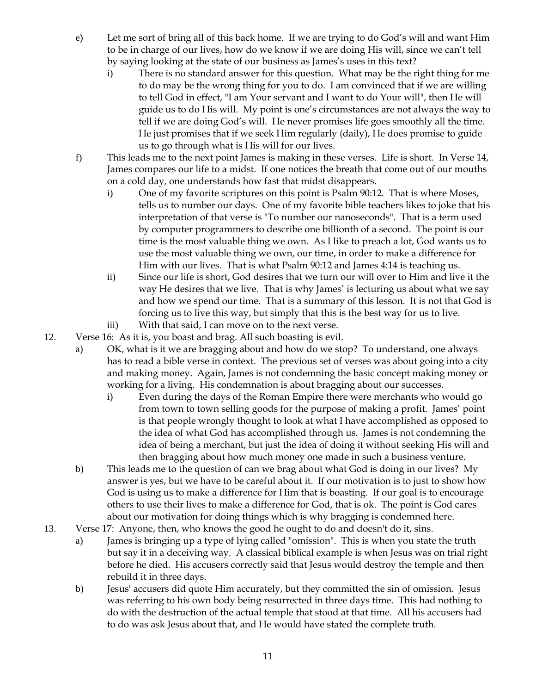- e) Let me sort of bring all of this back home. If we are trying to do God's will and want Him to be in charge of our lives, how do we know if we are doing His will, since we can't tell by saying looking at the state of our business as James's uses in this text?
	- i) There is no standard answer for this question. What may be the right thing for me to do may be the wrong thing for you to do. I am convinced that if we are willing to tell God in effect, "I am Your servant and I want to do Your will", then He will guide us to do His will. My point is one's circumstances are not always the way to tell if we are doing God's will. He never promises life goes smoothly all the time. He just promises that if we seek Him regularly (daily), He does promise to guide us to go through what is His will for our lives.
- f) This leads me to the next point James is making in these verses. Life is short. In Verse 14, James compares our life to a midst. If one notices the breath that come out of our mouths on a cold day, one understands how fast that midst disappears.
	- i) One of my favorite scriptures on this point is Psalm 90:12. That is where Moses, tells us to number our days. One of my favorite bible teachers likes to joke that his interpretation of that verse is "To number our nanoseconds". That is a term used by computer programmers to describe one billionth of a second. The point is our time is the most valuable thing we own. As I like to preach a lot, God wants us to use the most valuable thing we own, our time, in order to make a difference for Him with our lives. That is what Psalm 90:12 and James 4:14 is teaching us.
	- ii) Since our life is short, God desires that we turn our will over to Him and live it the way He desires that we live. That is why James' is lecturing us about what we say and how we spend our time. That is a summary of this lesson. It is not that God is forcing us to live this way, but simply that this is the best way for us to live.
	- iii) With that said, I can move on to the next verse.
- 12. Verse 16: As it is, you boast and brag. All such boasting is evil.
	- a) OK, what is it we are bragging about and how do we stop? To understand, one always has to read a bible verse in context. The previous set of verses was about going into a city and making money. Again, James is not condemning the basic concept making money or working for a living. His condemnation is about bragging about our successes.
		- i) Even during the days of the Roman Empire there were merchants who would go from town to town selling goods for the purpose of making a profit. James' point is that people wrongly thought to look at what I have accomplished as opposed to the idea of what God has accomplished through us. James is not condemning the idea of being a merchant, but just the idea of doing it without seeking His will and then bragging about how much money one made in such a business venture.
	- b) This leads me to the question of can we brag about what God is doing in our lives? My answer is yes, but we have to be careful about it. If our motivation is to just to show how God is using us to make a difference for Him that is boasting. If our goal is to encourage others to use their lives to make a difference for God, that is ok. The point is God cares about our motivation for doing things which is why bragging is condemned here.
- 13. Verse 17: Anyone, then, who knows the good he ought to do and doesn't do it, sins.
	- a) James is bringing up a type of lying called "omission". This is when you state the truth but say it in a deceiving way. A classical biblical example is when Jesus was on trial right before he died. His accusers correctly said that Jesus would destroy the temple and then rebuild it in three days.
	- b) Jesus' accusers did quote Him accurately, but they committed the sin of omission. Jesus was referring to his own body being resurrected in three days time. This had nothing to do with the destruction of the actual temple that stood at that time. All his accusers had to do was ask Jesus about that, and He would have stated the complete truth.